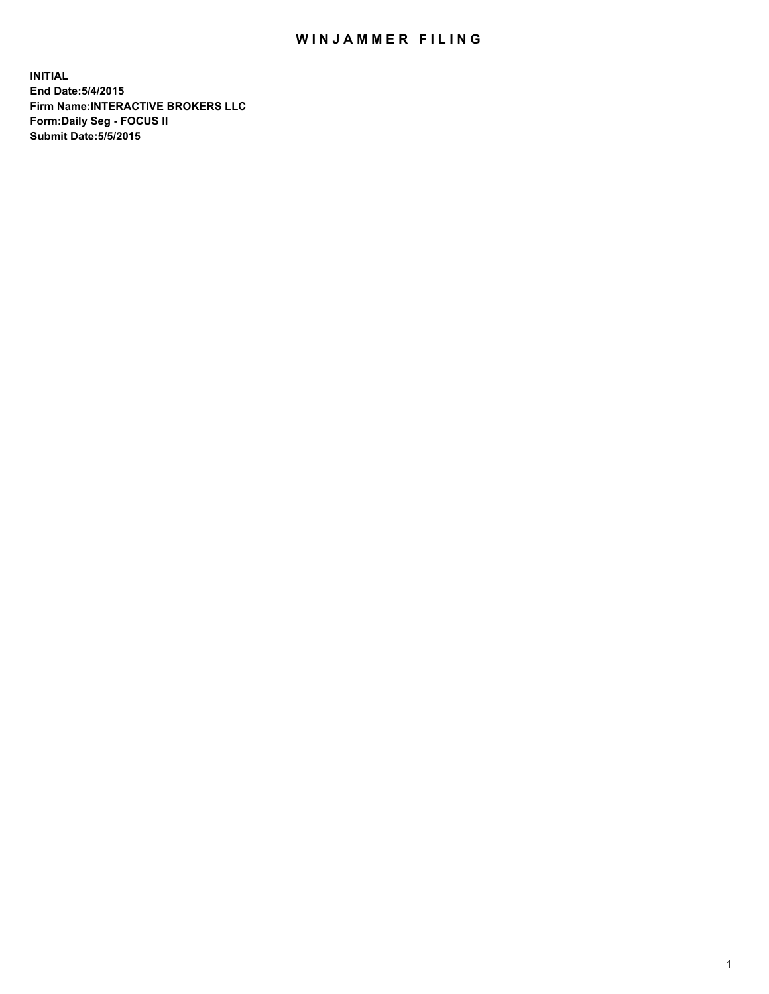## WIN JAMMER FILING

**INITIAL End Date:5/4/2015 Firm Name:INTERACTIVE BROKERS LLC Form:Daily Seg - FOCUS II Submit Date:5/5/2015**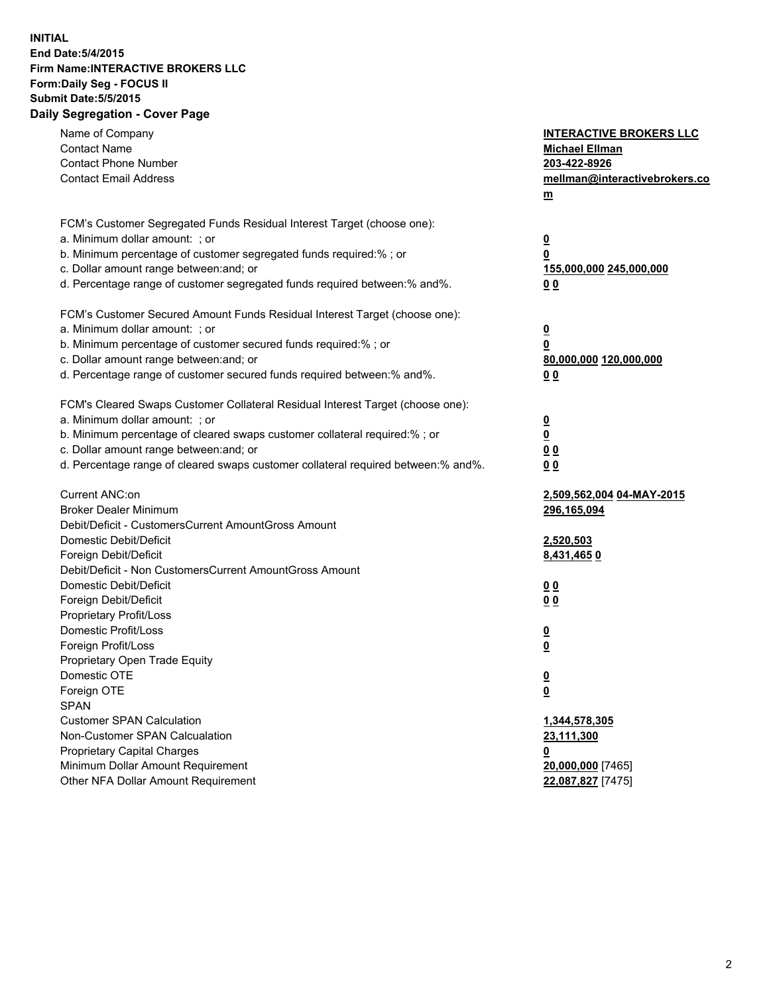## **INITIAL End Date:5/4/2015 Firm Name:INTERACTIVE BROKERS LLC Form:Daily Seg - FOCUS II Submit Date:5/5/2015 Daily Segregation - Cover Page**

| Name of Company                                                                   | <b>INTERACTIVE BROKERS LLC</b> |
|-----------------------------------------------------------------------------------|--------------------------------|
| <b>Contact Name</b><br><b>Contact Phone Number</b>                                | <b>Michael Ellman</b>          |
|                                                                                   | 203-422-8926                   |
| <b>Contact Email Address</b>                                                      | mellman@interactivebrokers.co  |
|                                                                                   | $\underline{\mathbf{m}}$       |
| FCM's Customer Segregated Funds Residual Interest Target (choose one):            |                                |
| a. Minimum dollar amount: ; or                                                    | $\overline{\mathbf{0}}$        |
| b. Minimum percentage of customer segregated funds required:% ; or                | 0                              |
| c. Dollar amount range between: and; or                                           | 155,000,000 245,000,000        |
| d. Percentage range of customer segregated funds required between:% and%.         | 00                             |
| FCM's Customer Secured Amount Funds Residual Interest Target (choose one):        |                                |
| a. Minimum dollar amount: ; or                                                    | $\overline{\mathbf{0}}$        |
| b. Minimum percentage of customer secured funds required:% ; or                   | 0                              |
| c. Dollar amount range between: and; or                                           | 80,000,000 120,000,000         |
| d. Percentage range of customer secured funds required between:% and%.            | 00                             |
|                                                                                   |                                |
| FCM's Cleared Swaps Customer Collateral Residual Interest Target (choose one):    |                                |
| a. Minimum dollar amount: ; or                                                    | $\overline{\mathbf{0}}$        |
| b. Minimum percentage of cleared swaps customer collateral required:% ; or        | $\underline{\mathbf{0}}$       |
| c. Dollar amount range between: and; or                                           | 0 <sub>0</sub>                 |
| d. Percentage range of cleared swaps customer collateral required between:% and%. | 0 <sub>0</sub>                 |
|                                                                                   |                                |
| Current ANC:on                                                                    | 2,509,562,004 04-MAY-2015      |
| <b>Broker Dealer Minimum</b>                                                      | 296,165,094                    |
| Debit/Deficit - CustomersCurrent AmountGross Amount                               |                                |
| Domestic Debit/Deficit                                                            | 2,520,503                      |
| Foreign Debit/Deficit                                                             | 8,431,4650                     |
| Debit/Deficit - Non CustomersCurrent AmountGross Amount                           |                                |
| Domestic Debit/Deficit                                                            | 0 <sub>0</sub>                 |
| Foreign Debit/Deficit                                                             | 0 <sub>0</sub>                 |
| Proprietary Profit/Loss                                                           |                                |
| Domestic Profit/Loss                                                              | $\overline{\mathbf{0}}$        |
| Foreign Profit/Loss                                                               | $\underline{\mathbf{0}}$       |
| Proprietary Open Trade Equity                                                     |                                |
| Domestic OTE                                                                      | <u>0</u>                       |
| Foreign OTE                                                                       | <u>0</u>                       |
| <b>SPAN</b>                                                                       |                                |
| <b>Customer SPAN Calculation</b>                                                  | 1,344,578,305                  |
| Non-Customer SPAN Calcualation                                                    | <u>23,111,300</u>              |
| Proprietary Capital Charges                                                       | <u>0</u>                       |
| Minimum Dollar Amount Requirement                                                 | 20,000,000 [7465]              |
| Other NFA Dollar Amount Requirement                                               | 22,087,827 [7475]              |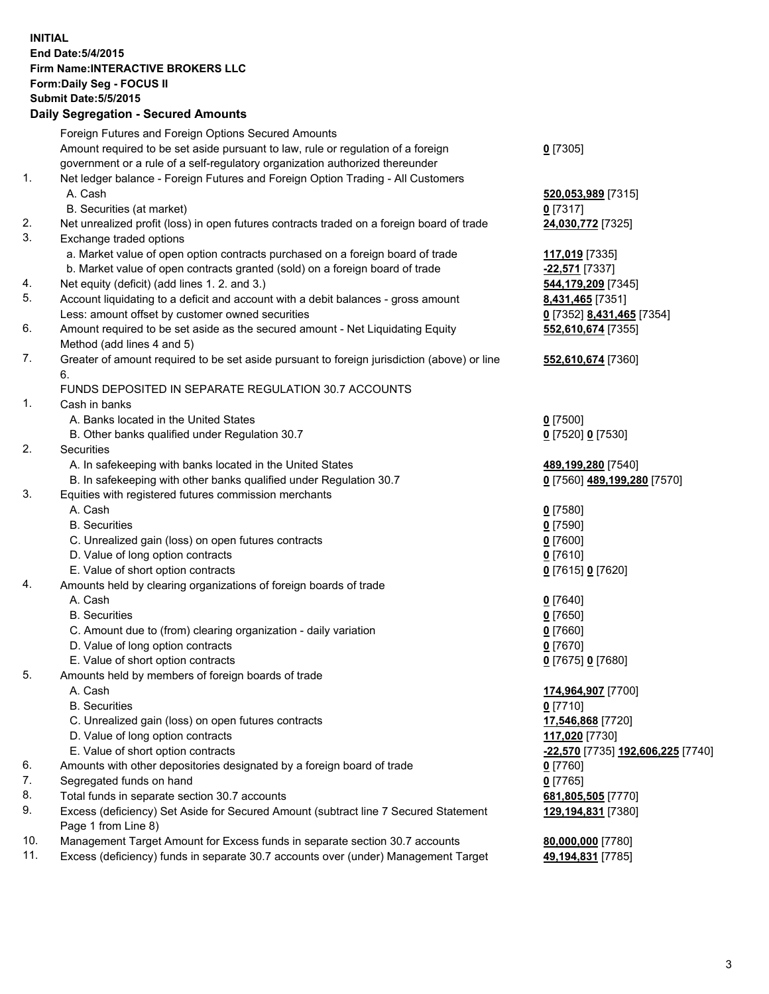## **INITIAL End Date:5/4/2015 Firm Name:INTERACTIVE BROKERS LLC Form:Daily Seg - FOCUS II Submit Date:5/5/2015 Daily Segregation - Secured Amounts**

|     | Foreign Futures and Foreign Options Secured Amounts                                         |                                   |
|-----|---------------------------------------------------------------------------------------------|-----------------------------------|
|     | Amount required to be set aside pursuant to law, rule or regulation of a foreign            | $0$ [7305]                        |
|     | government or a rule of a self-regulatory organization authorized thereunder                |                                   |
| 1.  | Net ledger balance - Foreign Futures and Foreign Option Trading - All Customers             |                                   |
|     | A. Cash                                                                                     | 520,053,989 [7315]                |
|     | B. Securities (at market)                                                                   | $0$ [7317]                        |
| 2.  | Net unrealized profit (loss) in open futures contracts traded on a foreign board of trade   | 24,030,772 [7325]                 |
| 3.  | Exchange traded options                                                                     |                                   |
|     | a. Market value of open option contracts purchased on a foreign board of trade              | 117,019 [7335]                    |
|     | b. Market value of open contracts granted (sold) on a foreign board of trade                | -22,571 [7337]                    |
| 4.  | Net equity (deficit) (add lines 1.2. and 3.)                                                | 544,179,209 [7345]                |
| 5.  | Account liquidating to a deficit and account with a debit balances - gross amount           | 8,431,465 [7351]                  |
|     | Less: amount offset by customer owned securities                                            | 0 [7352] 8,431,465 [7354]         |
| 6.  | Amount required to be set aside as the secured amount - Net Liquidating Equity              | 552,610,674 [7355]                |
|     | Method (add lines 4 and 5)                                                                  |                                   |
| 7.  | Greater of amount required to be set aside pursuant to foreign jurisdiction (above) or line | 552,610,674 [7360]                |
|     | 6.                                                                                          |                                   |
|     | FUNDS DEPOSITED IN SEPARATE REGULATION 30.7 ACCOUNTS                                        |                                   |
| 1.  | Cash in banks                                                                               |                                   |
|     | A. Banks located in the United States                                                       | $0$ [7500]                        |
|     | B. Other banks qualified under Regulation 30.7                                              | 0 [7520] 0 [7530]                 |
| 2.  | Securities                                                                                  |                                   |
|     | A. In safekeeping with banks located in the United States                                   | 489,199,280 [7540]                |
|     |                                                                                             |                                   |
| 3.  | B. In safekeeping with other banks qualified under Regulation 30.7                          | 0 [7560] 489,199,280 [7570]       |
|     | Equities with registered futures commission merchants                                       |                                   |
|     | A. Cash                                                                                     | $0$ [7580]                        |
|     | <b>B.</b> Securities                                                                        | $0$ [7590]                        |
|     | C. Unrealized gain (loss) on open futures contracts                                         | $0$ [7600]                        |
|     | D. Value of long option contracts                                                           | $0$ [7610]                        |
|     | E. Value of short option contracts                                                          | 0 [7615] 0 [7620]                 |
| 4.  | Amounts held by clearing organizations of foreign boards of trade                           |                                   |
|     | A. Cash                                                                                     | $0$ [7640]                        |
|     | <b>B.</b> Securities                                                                        | $0$ [7650]                        |
|     | C. Amount due to (from) clearing organization - daily variation                             | $0$ [7660]                        |
|     | D. Value of long option contracts                                                           | $0$ [7670]                        |
|     | E. Value of short option contracts                                                          | 0 [7675] 0 [7680]                 |
| 5.  | Amounts held by members of foreign boards of trade                                          |                                   |
|     | A. Cash                                                                                     | 174,964,907 [7700]                |
|     | <b>B.</b> Securities                                                                        | $0$ [7710]                        |
|     | C. Unrealized gain (loss) on open futures contracts                                         | 17,546,868 [7720]                 |
|     | D. Value of long option contracts                                                           | 117,020 [7730]                    |
|     | E. Value of short option contracts                                                          | -22,570 [7735] 192,606,225 [7740] |
| 6.  | Amounts with other depositories designated by a foreign board of trade                      | $0$ [7760]                        |
| 7.  | Segregated funds on hand                                                                    | $0$ [7765]                        |
| 8.  | Total funds in separate section 30.7 accounts                                               | 681,805,505 [7770]                |
| 9.  | Excess (deficiency) Set Aside for Secured Amount (subtract line 7 Secured Statement         | 129,194,831 [7380]                |
|     | Page 1 from Line 8)                                                                         |                                   |
| 10. | Management Target Amount for Excess funds in separate section 30.7 accounts                 | 80,000,000 [7780]                 |
| 11. | Excess (deficiency) funds in separate 30.7 accounts over (under) Management Target          | 49,194,831 [7785]                 |
|     |                                                                                             |                                   |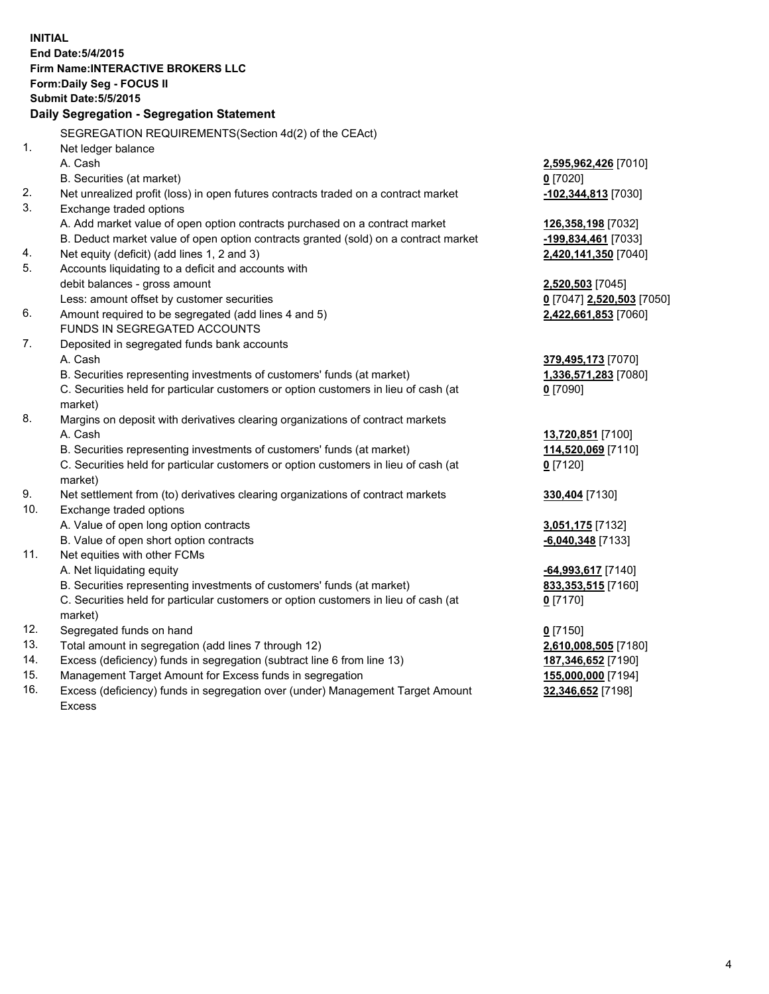**INITIAL End Date:5/4/2015 Firm Name:INTERACTIVE BROKERS LLC Form:Daily Seg - FOCUS II Submit Date:5/5/2015 Daily Segregation - Segregation Statement** SEGREGATION REQUIREMENTS(Section 4d(2) of the CEAct) 1. Net ledger balance A. Cash **2,595,962,426** [7010] B. Securities (at market) **0** [7020] 2. Net unrealized profit (loss) in open futures contracts traded on a contract market **-102,344,813** [7030] 3. Exchange traded options A. Add market value of open option contracts purchased on a contract market **126,358,198** [7032] B. Deduct market value of open option contracts granted (sold) on a contract market **-199,834,461** [7033] 4. Net equity (deficit) (add lines 1, 2 and 3) **2,420,141,350** [7040] 5. Accounts liquidating to a deficit and accounts with debit balances - gross amount **2,520,503** [7045] Less: amount offset by customer securities **0** [7047] **2,520,503** [7050] 6. Amount required to be segregated (add lines 4 and 5) **2,422,661,853** [7060] FUNDS IN SEGREGATED ACCOUNTS 7. Deposited in segregated funds bank accounts A. Cash **379,495,173** [7070] B. Securities representing investments of customers' funds (at market) **1,336,571,283** [7080] C. Securities held for particular customers or option customers in lieu of cash (at market) **0** [7090] 8. Margins on deposit with derivatives clearing organizations of contract markets A. Cash **13,720,851** [7100] B. Securities representing investments of customers' funds (at market) **114,520,069** [7110] C. Securities held for particular customers or option customers in lieu of cash (at market) **0** [7120] 9. Net settlement from (to) derivatives clearing organizations of contract markets **330,404** [7130] 10. Exchange traded options A. Value of open long option contracts **3,051,175** [7132] B. Value of open short option contracts **-6,040,348** [7133] 11. Net equities with other FCMs A. Net liquidating equity **-64,993,617** [7140] B. Securities representing investments of customers' funds (at market) **833,353,515** [7160] C. Securities held for particular customers or option customers in lieu of cash (at market) **0** [7170] 12. Segregated funds on hand **0** [7150] 13. Total amount in segregation (add lines 7 through 12) **2,610,008,505** [7180] 14. Excess (deficiency) funds in segregation (subtract line 6 from line 13) **187,346,652** [7190] 15. Management Target Amount for Excess funds in segregation **155,000,000** [7194]

16. Excess (deficiency) funds in segregation over (under) Management Target Amount Excess

**32,346,652** [7198]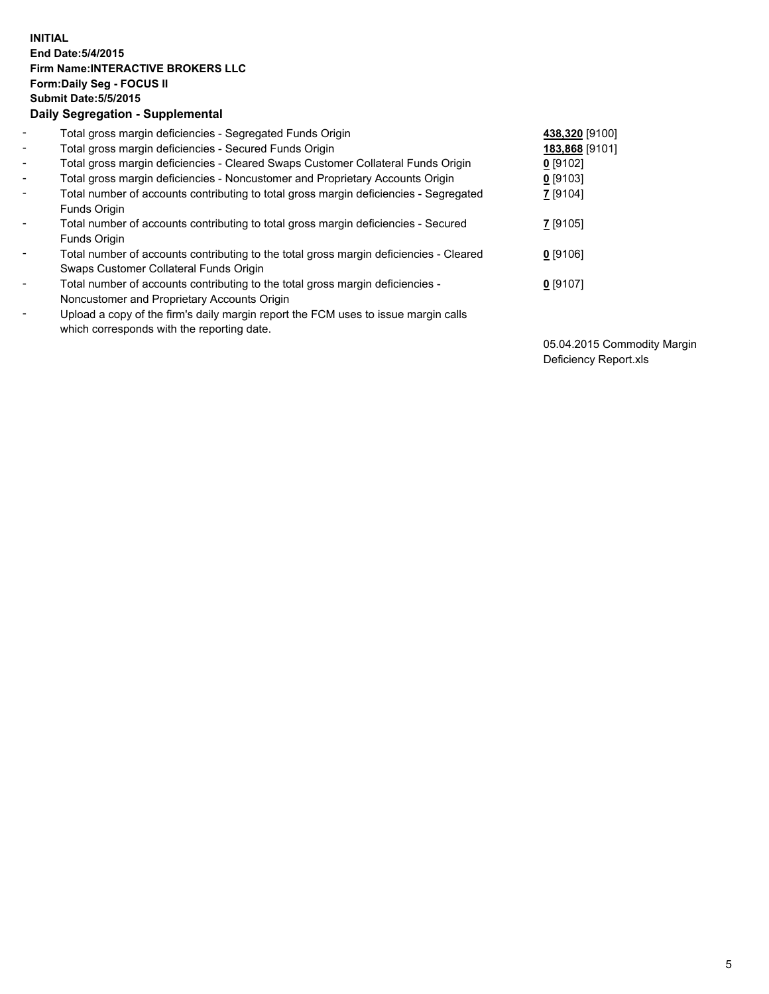## **INITIAL End Date:5/4/2015 Firm Name:INTERACTIVE BROKERS LLC Form:Daily Seg - FOCUS II Submit Date:5/5/2015 Daily Segregation - Supplemental**

| $\blacksquare$ | Total gross margin deficiencies - Segregated Funds Origin                              | 438,320 [9100] |
|----------------|----------------------------------------------------------------------------------------|----------------|
| $\blacksquare$ | Total gross margin deficiencies - Secured Funds Origin                                 | 183,868 [9101] |
| $\blacksquare$ | Total gross margin deficiencies - Cleared Swaps Customer Collateral Funds Origin       | $0$ [9102]     |
| $\sim$         | Total gross margin deficiencies - Noncustomer and Proprietary Accounts Origin          | $0$ [9103]     |
| $\blacksquare$ | Total number of accounts contributing to total gross margin deficiencies - Segregated  | 7 [9104]       |
|                | Funds Origin                                                                           |                |
| $\blacksquare$ | Total number of accounts contributing to total gross margin deficiencies - Secured     | 7 [9105]       |
|                | Funds Origin                                                                           |                |
| Ξ.             | Total number of accounts contributing to the total gross margin deficiencies - Cleared | $0$ [9106]     |
|                | Swaps Customer Collateral Funds Origin                                                 |                |
| ۰              | Total number of accounts contributing to the total gross margin deficiencies -         | $0$ [9107]     |
|                | Noncustomer and Proprietary Accounts Origin                                            |                |
| $\blacksquare$ | Upload a copy of the firm's daily margin report the FCM uses to issue margin calls     |                |
|                | which corresponds with the reporting date.                                             |                |

05.04.2015 Commodity Margin Deficiency Report.xls